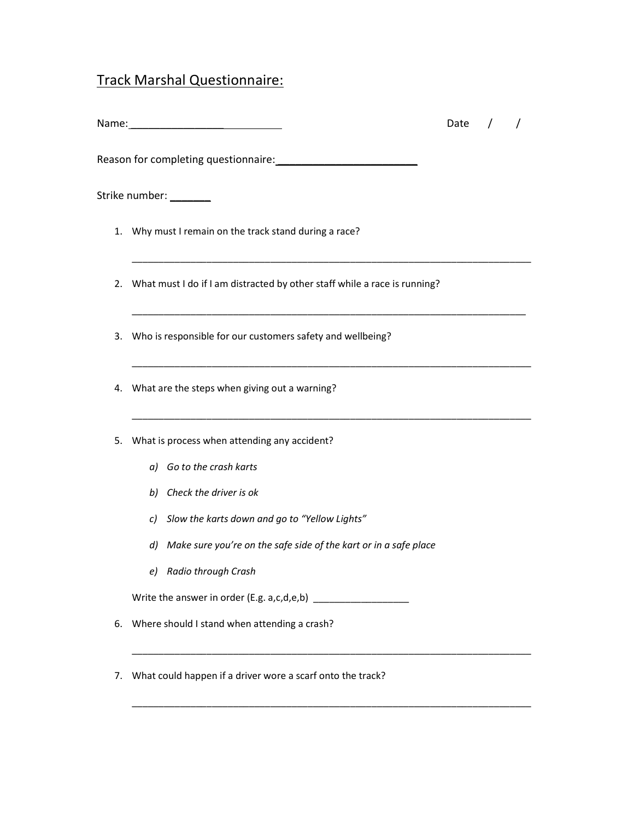## Track Marshal Questionnaire:

|    | Strike number: ________                                                      |  |  |
|----|------------------------------------------------------------------------------|--|--|
|    |                                                                              |  |  |
|    |                                                                              |  |  |
|    | 1. Why must I remain on the track stand during a race?                       |  |  |
|    | 2. What must I do if I am distracted by other staff while a race is running? |  |  |
|    | 3. Who is responsible for our customers safety and wellbeing?                |  |  |
|    | 4. What are the steps when giving out a warning?                             |  |  |
| 5. | What is process when attending any accident?                                 |  |  |
|    | a) Go to the crash karts                                                     |  |  |
|    | b) Check the driver is ok                                                    |  |  |
|    | c) Slow the karts down and go to "Yellow Lights"                             |  |  |
|    | d) Make sure you're on the safe side of the kart or in a safe place          |  |  |
|    | e) Radio through Crash                                                       |  |  |
|    | Write the answer in order (E.g. a,c,d,e,b) $\frac{1}{2}$                     |  |  |
| 6. | Where should I stand when attending a crash?                                 |  |  |

\_\_\_\_\_\_\_\_\_\_\_\_\_\_\_\_\_\_\_\_\_\_\_\_\_\_\_\_\_\_\_\_\_\_\_\_\_\_\_\_\_\_\_\_\_\_\_\_\_\_\_\_\_\_\_\_\_\_\_\_\_\_\_\_\_\_\_\_\_\_\_\_\_\_\_